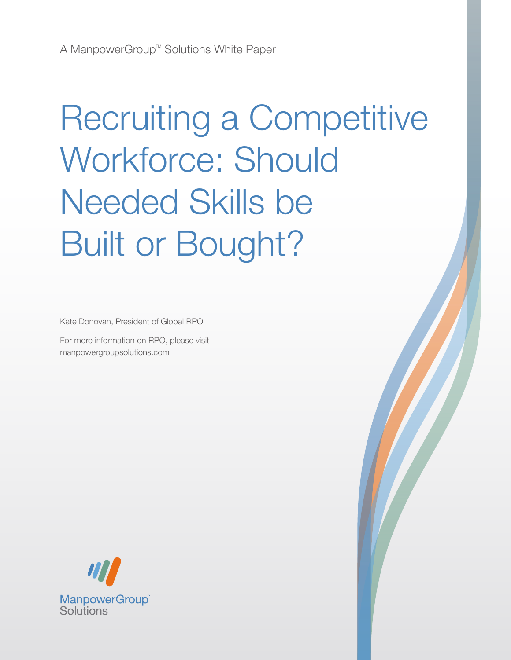# Recruiting a Competitive Workforce: Should Needed Skills be Built or Bought?

Kate Donovan, President of Global RPO

For more information on RPO, please visit manpowergroupsolutions.com

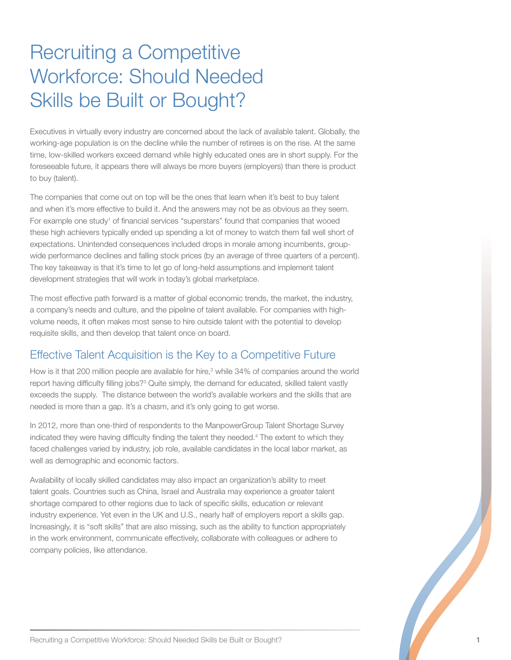# Recruiting a Competitive Workforce: Should Needed Skills be Built or Bought?

Executives in virtually every industry are concerned about the lack of available talent. Globally, the working-age population is on the decline while the number of retirees is on the rise. At the same time, low-skilled workers exceed demand while highly educated ones are in short supply. For the foreseeable future, it appears there will always be more buyers (employers) than there is product to buy (talent).

The companies that come out on top will be the ones that learn when it's best to buy talent and when it's more effective to build it. And the answers may not be as obvious as they seem. For example one study<sup>1</sup> of financial services "superstars" found that companies that wooed these high achievers typically ended up spending a lot of money to watch them fall well short of expectations. Unintended consequences included drops in morale among incumbents, groupwide performance declines and falling stock prices (by an average of three quarters of a percent). The key takeaway is that it's time to let go of long-held assumptions and implement talent development strategies that will work in today's global marketplace.

The most effective path forward is a matter of global economic trends, the market, the industry, a company's needs and culture, and the pipeline of talent available. For companies with highvolume needs, it often makes most sense to hire outside talent with the potential to develop requisite skills, and then develop that talent once on board.

# Effective Talent Acquisition is the Key to a Competitive Future

How is it that 200 million people are available for hire,<sup>2</sup> while 34% of companies around the world report having difficulty filling jobs?<sup>3</sup> Quite simply, the demand for educated, skilled talent vastly exceeds the supply. The distance between the world's available workers and the skills that are needed is more than a gap. It's a chasm, and it's only going to get worse.

In 2012, more than one-third of respondents to the ManpowerGroup Talent Shortage Survey indicated they were having difficulty finding the talent they needed.4 The extent to which they faced challenges varied by industry, job role, available candidates in the local labor market, as well as demographic and economic factors.

Availability of locally skilled candidates may also impact an organization's ability to meet talent goals. Countries such as China, Israel and Australia may experience a greater talent shortage compared to other regions due to lack of specific skills, education or relevant industry experience. Yet even in the UK and U.S., nearly half of employers report a skills gap. Increasingly, it is "soft skills" that are also missing, such as the ability to function appropriately in the work environment, communicate effectively, collaborate with colleagues or adhere to company policies, like attendance.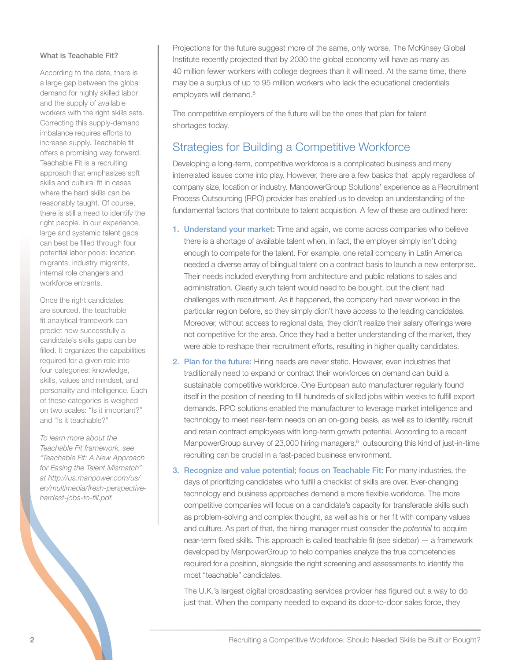#### What is Teachable Fit?

According to the data, there is a large gap between the global demand for highly skilled labor and the supply of available workers with the right skills sets. Correcting this supply-demand imbalance requires efforts to increase supply. Teachable fit offers a promising way forward. Teachable Fit is a recruiting approach that emphasizes soft skills and cultural fit in cases where the hard skills can be reasonably taught. Of course, there is still a need to identify the right people. In our experience, large and systemic talent gaps can best be filled through four potential labor pools: location migrants, industry migrants, internal role changers and workforce entrants.

Once the right candidates are sourced, the teachable fit analytical framework can predict how successfully a candidate's skills gaps can be filled. It organizes the capabilities required for a given role into four categories: knowledge, skills, values and mindset, and personality and intelligence. Each of these categories is weighed on two scales: "Is it important?" and "Is it teachable?"

*To learn more about the Teachable Fit framework, see "Teachable Fit: A New Approach for Easing the Talent Mismatch" at http://us.manpower.com/us/ en/multimedia/fresh-perspectivehardest-jobs-to-fill.pdf.* 

Projections for the future suggest more of the same, only worse. The McKinsey Global Institute recently projected that by 2030 the global economy will have as many as 40 million fewer workers with college degrees than it will need. At the same time, there may be a surplus of up to 95 million workers who lack the educational credentials employers will demand.<sup>5</sup>

The competitive employers of the future will be the ones that plan for talent shortages today.

# Strategies for Building a Competitive Workforce

Developing a long-term, competitive workforce is a complicated business and many interrelated issues come into play. However, there are a few basics that apply regardless of company size, location or industry. ManpowerGroup Solutions' experience as a Recruitment Process Outsourcing (RPO) provider has enabled us to develop an understanding of the fundamental factors that contribute to talent acquisition. A few of these are outlined here:

- 1. Understand your market: Time and again, we come across companies who believe there is a shortage of available talent when, in fact, the employer simply isn't doing enough to compete for the talent. For example, one retail company in Latin America needed a diverse array of bilingual talent on a contract basis to launch a new enterprise. Their needs included everything from architecture and public relations to sales and administration. Clearly such talent would need to be bought, but the client had challenges with recruitment. As it happened, the company had never worked in the particular region before, so they simply didn't have access to the leading candidates. Moreover, without access to regional data, they didn't realize their salary offerings were not competitive for the area. Once they had a better understanding of the market, they were able to reshape their recruitment efforts, resulting in higher quality candidates.
- 2. Plan for the future: Hiring needs are never static. However, even industries that traditionally need to expand or contract their workforces on demand can build a sustainable competitive workforce. One European auto manufacturer regularly found itself in the position of needing to fill hundreds of skilled jobs within weeks to fulfill export demands. RPO solutions enabled the manufacturer to leverage market intelligence and technology to meet near-term needs on an on-going basis, as well as to identify, recruit and retain contract employees with long-term growth potential. According to a recent ManpowerGroup survey of 23,000 hiring managers,<sup>6</sup> outsourcing this kind of just-in-time recruiting can be crucial in a fast-paced business environment.
- 3. Recognize and value potential; focus on Teachable Fit: For many industries, the days of prioritizing candidates who fulfill a checklist of skills are over. Ever-changing technology and business approaches demand a more flexible workforce. The more competitive companies will focus on a candidate's capacity for transferable skills such as problem-solving and complex thought, as well as his or her fit with company values and culture. As part of that, the hiring manager must consider the *potential* to acquire near-term fixed skills. This approach is called teachable fit (see sidebar) — a framework developed by ManpowerGroup to help companies analyze the true competencies required for a position, alongside the right screening and assessments to identify the most "teachable" candidates.

The U.K.'s largest digital broadcasting services provider has figured out a way to do just that. When the company needed to expand its door-to-door sales force, they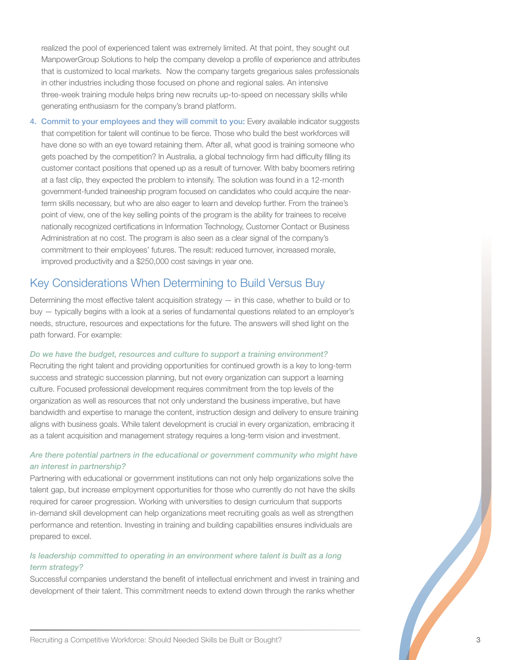realized the pool of experienced talent was extremely limited. At that point, they sought out ManpowerGroup Solutions to help the company develop a profile of experience and attributes that is customized to local markets. Now the company targets gregarious sales professionals in other industries including those focused on phone and regional sales. An intensive three-week training module helps bring new recruits up-to-speed on necessary skills while generating enthusiasm for the company's brand platform.

4. Commit to your employees and they will commit to you: Every available indicator suggests that competition for talent will continue to be fierce. Those who build the best workforces will have done so with an eye toward retaining them. After all, what good is training someone who gets poached by the competition? In Australia, a global technology firm had difficulty filling its customer contact positions that opened up as a result of turnover. With baby boomers retiring at a fast clip, they expected the problem to intensify. The solution was found in a 12-month government-funded traineeship program focused on candidates who could acquire the nearterm skills necessary, but who are also eager to learn and develop further. From the trainee's point of view, one of the key selling points of the program is the ability for trainees to receive nationally recognized certifications in Information Technology, Customer Contact or Business Administration at no cost. The program is also seen as a clear signal of the company's commitment to their employees' futures. The result: reduced turnover, increased morale, improved productivity and a \$250,000 cost savings in year one.

## Key Considerations When Determining to Build Versus Buy

Determining the most effective talent acquisition strategy — in this case, whether to build or to buy — typically begins with a look at a series of fundamental questions related to an employer's needs, structure, resources and expectations for the future. The answers will shed light on the path forward. For example:

#### *Do we have the budget, resources and culture to support a training environment?*

Recruiting the right talent and providing opportunities for continued growth is a key to long-term success and strategic succession planning, but not every organization can support a learning culture. Focused professional development requires commitment from the top levels of the organization as well as resources that not only understand the business imperative, but have bandwidth and expertise to manage the content, instruction design and delivery to ensure training aligns with business goals. While talent development is crucial in every organization, embracing it as a talent acquisition and management strategy requires a long-term vision and investment.

#### *Are there potential partners in the educational or government community who might have an interest in partnership?*

Partnering with educational or government institutions can not only help organizations solve the talent gap, but increase employment opportunities for those who currently do not have the skills required for career progression. Working with universities to design curriculum that supports in-demand skill development can help organizations meet recruiting goals as well as strengthen performance and retention. Investing in training and building capabilities ensures individuals are prepared to excel.

#### *Is leadership committed to operating in an environment where talent is built as a long term strategy?*

Successful companies understand the benefit of intellectual enrichment and invest in training and development of their talent. This commitment needs to extend down through the ranks whether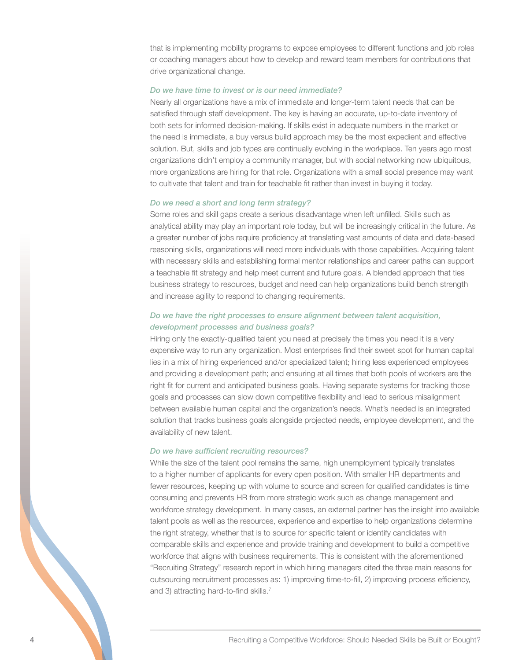that is implementing mobility programs to expose employees to different functions and job roles or coaching managers about how to develop and reward team members for contributions that drive organizational change.

#### *Do we have time to invest or is our need immediate?*

Nearly all organizations have a mix of immediate and longer-term talent needs that can be satisfied through staff development. The key is having an accurate, up-to-date inventory of both sets for informed decision-making. If skills exist in adequate numbers in the market or the need is immediate, a buy versus build approach may be the most expedient and effective solution. But, skills and job types are continually evolving in the workplace. Ten years ago most organizations didn't employ a community manager, but with social networking now ubiquitous, more organizations are hiring for that role. Organizations with a small social presence may want to cultivate that talent and train for teachable fit rather than invest in buying it today.

#### *Do we need a short and long term strategy?*

Some roles and skill gaps create a serious disadvantage when left unfilled. Skills such as analytical ability may play an important role today, but will be increasingly critical in the future. As a greater number of jobs require proficiency at translating vast amounts of data and data-based reasoning skills, organizations will need more individuals with those capabilities. Acquiring talent with necessary skills and establishing formal mentor relationships and career paths can support a teachable fit strategy and help meet current and future goals. A blended approach that ties business strategy to resources, budget and need can help organizations build bench strength and increase agility to respond to changing requirements.

#### *Do we have the right processes to ensure alignment between talent acquisition, development processes and business goals?*

Hiring only the exactly-qualified talent you need at precisely the times you need it is a very expensive way to run any organization. Most enterprises find their sweet spot for human capital lies in a mix of hiring experienced and/or specialized talent; hiring less experienced employees and providing a development path; and ensuring at all times that both pools of workers are the right fit for current and anticipated business goals. Having separate systems for tracking those goals and processes can slow down competitive flexibility and lead to serious misalignment between available human capital and the organization's needs. What's needed is an integrated solution that tracks business goals alongside projected needs, employee development, and the availability of new talent.

#### *Do we have sufficient recruiting resources?*

4 Accounting a Competitive Workforce: Should Needed Skills be Built or Bought?<br>
Here in the right strategy, whether that is to source for specific talent or identify candidates with<br>
comparable skills and experience and pr While the size of the talent pool remains the same, high unemployment typically translates to a higher number of applicants for every open position. With smaller HR departments and fewer resources, keeping up with volume to source and screen for qualified candidates is time consuming and prevents HR from more strategic work such as change management and workforce strategy development. In many cases, an external partner has the insight into available talent pools as well as the resources, experience and expertise to help organizations determine the right strategy, whether that is to source for specific talent or identify candidates with comparable skills and experience and provide training and development to build a competitive workforce that aligns with business requirements. This is consistent with the aforementioned "Recruiting Strategy" research report in which hiring managers cited the three main reasons for outsourcing recruitment processes as: 1) improving time-to-fill, 2) improving process efficiency, and 3) attracting hard-to-find skills.<sup>7</sup>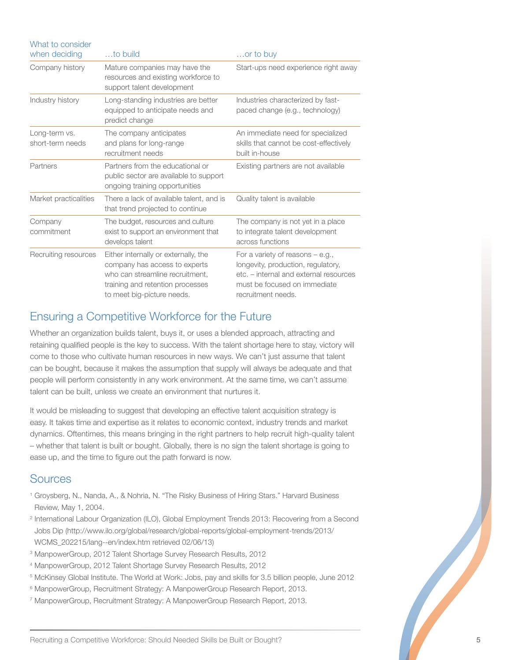| What to consider                  |                                                                                                                                                                            |                                                                                                                                                                          |
|-----------------------------------|----------------------------------------------------------------------------------------------------------------------------------------------------------------------------|--------------------------------------------------------------------------------------------------------------------------------------------------------------------------|
| when deciding                     | to build                                                                                                                                                                   | or to buy                                                                                                                                                                |
| Company history                   | Mature companies may have the<br>resources and existing workforce to<br>support talent development                                                                         | Start-ups need experience right away                                                                                                                                     |
| Industry history                  | Long-standing industries are better<br>equipped to anticipate needs and<br>predict change                                                                                  | Industries characterized by fast-<br>paced change (e.g., technology)                                                                                                     |
| Long-term vs.<br>short-term needs | The company anticipates<br>and plans for long-range<br>recruitment needs                                                                                                   | An immediate need for specialized<br>skills that cannot be cost-effectively<br>built in-house                                                                            |
| Partners                          | Partners from the educational or<br>public sector are available to support<br>ongoing training opportunities                                                               | Existing partners are not available                                                                                                                                      |
| Market practicalities             | There a lack of available talent, and is<br>that trend projected to continue                                                                                               | Quality talent is available                                                                                                                                              |
| Company<br>commitment             | The budget, resources and culture<br>exist to support an environment that<br>develops talent                                                                               | The company is not yet in a place<br>to integrate talent development<br>across functions                                                                                 |
| Recruiting resources              | Either internally or externally, the<br>company has access to experts<br>who can streamline recruitment.<br>training and retention processes<br>to meet big-picture needs. | For a variety of reasons $-$ e.g.,<br>longevity, production, regulatory,<br>etc. – internal and external resources<br>must be focused on immediate<br>recruitment needs. |

# Ensuring a Competitive Workforce for the Future

Whether an organization builds talent, buys it, or uses a blended approach, attracting and retaining qualified people is the key to success. With the talent shortage here to stay, victory will come to those who cultivate human resources in new ways. We can't just assume that talent can be bought, because it makes the assumption that supply will always be adequate and that people will perform consistently in any work environment. At the same time, we can't assume talent can be built, unless we create an environment that nurtures it.

It would be misleading to suggest that developing an effective talent acquisition strategy is easy. It takes time and expertise as it relates to economic context, industry trends and market dynamics. Oftentimes, this means bringing in the right partners to help recruit high-quality talent – whether that talent is built or bought. Globally, there is no sign the talent shortage is going to ease up, and the time to figure out the path forward is now.

### Sources

- <sup>1</sup> Groysberg, N., Nanda, A., & Nohria, N. "The Risky Business of Hiring Stars." Harvard Business Review, May 1, 2004.
- <sup>2</sup> International Labour Organization (ILO), Global Employment Trends 2013: Recovering from a Second Jobs Dip (http://www.ilo.org/global/research/global-reports/global-employment-trends/2013/ WCMS\_202215/lang--en/index.htm retrieved 02/06/13)
- <sup>3</sup> ManpowerGroup, 2012 Talent Shortage Survey Research Results, 2012
- <sup>4</sup> ManpowerGroup, 2012 Talent Shortage Survey Research Results, 2012
- <sup>5</sup> McKinsey Global Institute. The World at Work: Jobs, pay and skills for 3.5 billion people, June 2012
- <sup>6</sup> ManpowerGroup, Recruitment Strategy: A ManpowerGroup Research Report, 2013.
- <sup>7</sup> ManpowerGroup, Recruitment Strategy: A ManpowerGroup Research Report, 2013.